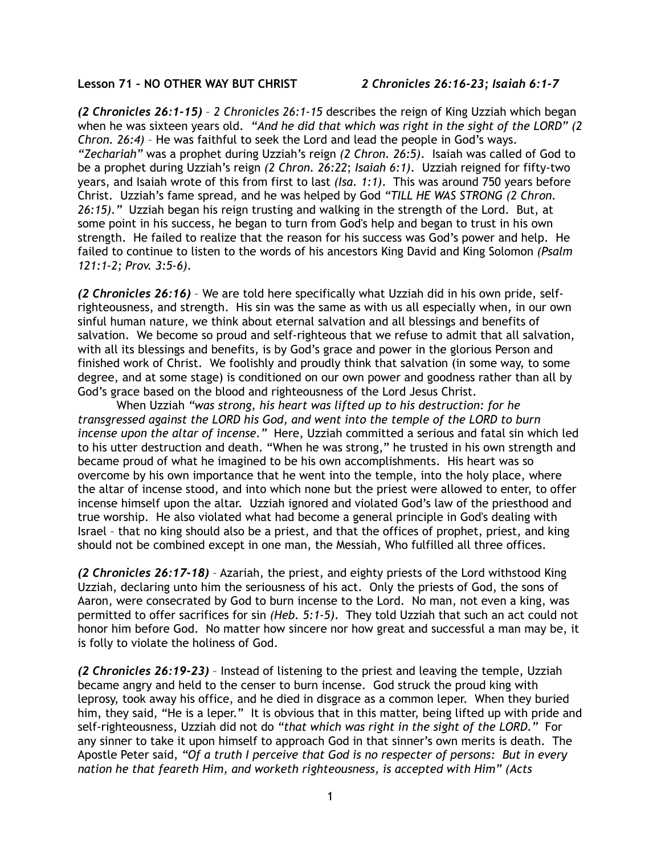## **Lesson 71 – NO OTHER WAY BUT CHRIST** *2 Chronicles 26:16-23; Isaiah 6:1-7*

*(2 Chronicles 26:1-15)* – *2 Chronicles 26:1-15* describes the reign of King Uzziah which began when he was sixteen years old. *"And he did that which was right in the sight of the LORD" (2 Chron. 26:4)* – He was faithful to seek the Lord and lead the people in God's ways. *"Zechariah"* was a prophet during Uzziah's reign *(2 Chron. 26:5)*. Isaiah was called of God to be a prophet during Uzziah's reign *(2 Chron. 26:22*; *Isaiah 6:1)*. Uzziah reigned for fifty-two years, and Isaiah wrote of this from first to last *(Isa. 1:1)*. This was around 750 years before Christ. Uzziah's fame spread, and he was helped by God *"TILL HE WAS STRONG (2 Chron. 26:15)."* Uzziah began his reign trusting and walking in the strength of the Lord. But, at some point in his success, he began to turn from God's help and began to trust in his own strength. He failed to realize that the reason for his success was God's power and help. He failed to continue to listen to the words of his ancestors King David and King Solomon *(Psalm 121:1-2; Prov. 3:5-6)*.

*(2 Chronicles 26:16)* – We are told here specifically what Uzziah did in his own pride, selfrighteousness, and strength. His sin was the same as with us all especially when, in our own sinful human nature, we think about eternal salvation and all blessings and benefits of salvation. We become so proud and self-righteous that we refuse to admit that all salvation, with all its blessings and benefits, is by God's grace and power in the glorious Person and finished work of Christ. We foolishly and proudly think that salvation (in some way, to some degree, and at some stage) is conditioned on our own power and goodness rather than all by God's grace based on the blood and righteousness of the Lord Jesus Christ.

When Uzziah *"was strong, his heart was lifted up to his destruction: for he transgressed against the LORD his God, and went into the temple of the LORD to burn incense upon the altar of incense."* Here, Uzziah committed a serious and fatal sin which led to his utter destruction and death. "When he was strong," he trusted in his own strength and became proud of what he imagined to be his own accomplishments. His heart was so overcome by his own importance that he went into the temple, into the holy place, where the altar of incense stood, and into which none but the priest were allowed to enter, to offer incense himself upon the altar. Uzziah ignored and violated God's law of the priesthood and true worship. He also violated what had become a general principle in God's dealing with Israel – that no king should also be a priest, and that the offices of prophet, priest, and king should not be combined except in one man, the Messiah, Who fulfilled all three offices.

*(2 Chronicles 26:17-18)* – Azariah, the priest, and eighty priests of the Lord withstood King Uzziah, declaring unto him the seriousness of his act. Only the priests of God, the sons of Aaron, were consecrated by God to burn incense to the Lord. No man, not even a king, was permitted to offer sacrifices for sin *(Heb. 5:1-5)*. They told Uzziah that such an act could not honor him before God. No matter how sincere nor how great and successful a man may be, it is folly to violate the holiness of God.

*(2 Chronicles 26:19-23)* – Instead of listening to the priest and leaving the temple, Uzziah became angry and held to the censer to burn incense. God struck the proud king with leprosy, took away his office, and he died in disgrace as a common leper. When they buried him, they said, "He is a leper." It is obvious that in this matter, being lifted up with pride and self-righteousness, Uzziah did not do *"that which was right in the sight of the LORD."* For any sinner to take it upon himself to approach God in that sinner's own merits is death. The Apostle Peter said, *"Of a truth I perceive that God is no respecter of persons: But in every nation he that feareth Him, and worketh righteousness, is accepted with Him" (Acts*